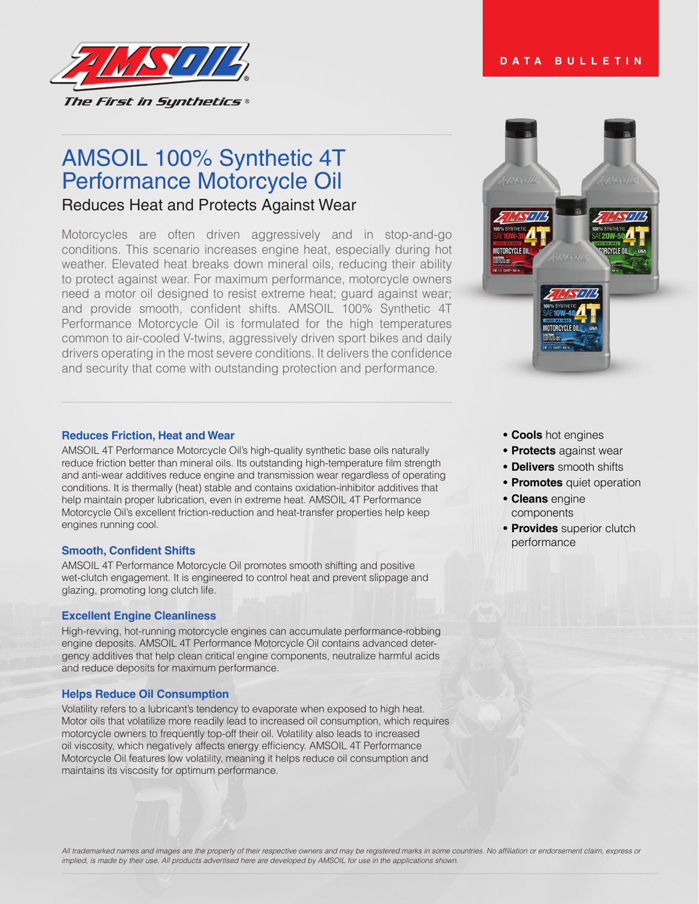

# **DATA BULLETIN**

# AMSOIL 100% Synthetic 4T Performance Motorcycle Oil

# Reduces Heat and Protects Against Wear

Motorcycles are often driven aggressively and in stop-and-go conditions. This scenario increases engine heat, especially during hot weather. Elevated heat breaks down mineral oils, reducing their ability to protect against wear. For maximum performance, motorcycle owners need a motor oil designed to resist extreme heat; guard against wear; and provide smooth, confident shifts. AMSOIL 100% Synthetic 4T Performance Motorcycle Oil is formulated for the high temperatures common to air-cooled V-twins, aggressively driven sport bikes and daily drivers operating in the most severe conditions. It delivers the confidence and security that come with outstanding protection and performance.



AMSOIL 4T Performance Motorcycle Oil's high-quality synthetic base oils naturally reduce friction better than mineral oils. Its outstanding high-temperature film strength and anti-wear additives reduce engine and transmission wear regardless of operating conditions. It is thermally (heat) stable and contains oxidation-inhibitor additives that help maintain proper lubrication, even in extreme heat. AMSOIL 4T Performance Motorcycle Oil's excellent friction-reduction and heat-transfer properties help keep engines running cool.

#### **Smooth, Confident Shifts**

AMSOIL 4T Performance Motorcycle Oil promotes smooth shifting and positive wet-clutch engagement. It is engineered to control heat and prevent slippage and glazing, promoting long clutch life.

#### **Excellent Engine Cleanliness**

High-revving, hot-running motorcycle engines can accumulate performance-robbing engine deposits. AMSOIL 4T Performance Motorcycle Oil contains advanced detergency additives that help clean critical engine components, neutralize harmful acids and reduce deposits for maximum performance.

#### **Helps Reduce Oil Consumption**

Volatility refers to a lubricant's tendency to evaporate when exposed to high heat. Motor oils that volatilize more readily lead to increased oil consumption, which requires motorcycle owners to frequently top-off their oil. Volatility also leads to increased oil viscosity, which negatively affects energy efficiency. AMSOIL 4T Performance Motorcycle Oil features low volatility, meaning it helps reduce oil consumption and maintains its viscosity for optimum performance.



- **• Cools** hot engines
- **• Protects** against wear
- **• Delivers** smooth shifts
- **• Promotes** quiet operation
- **• Cleans** engine components
- **• Provides** superior clutch performance

All trademarked names and images are the property of their respective owners and may be registered marks in some countries. No affiliation or endorsement claim, express or implied, is made by their use. All products advertised here are developed by AMSOIL for use in the applications shown.